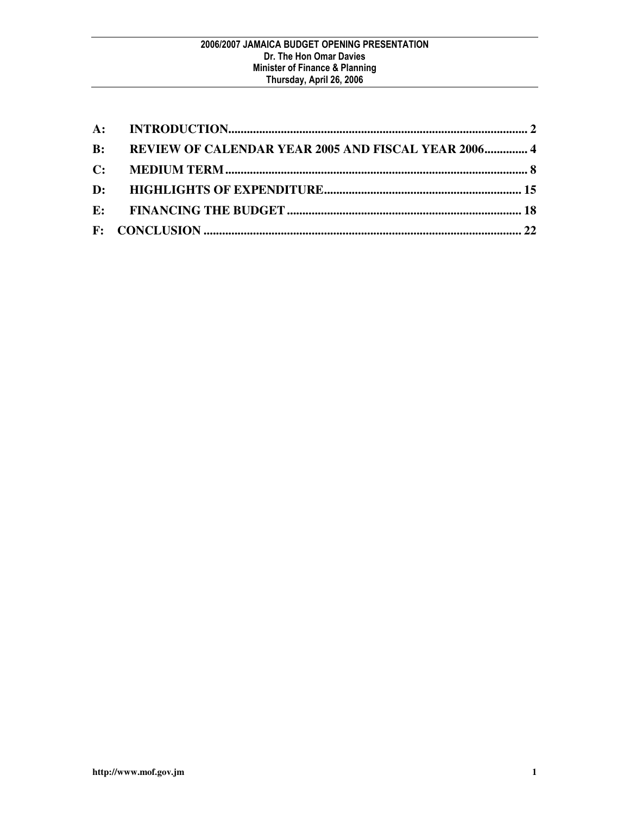| B: REVIEW OF CALENDAR YEAR 2005 AND FISCAL YEAR 2006 4 |
|--------------------------------------------------------|
|                                                        |
|                                                        |
|                                                        |
|                                                        |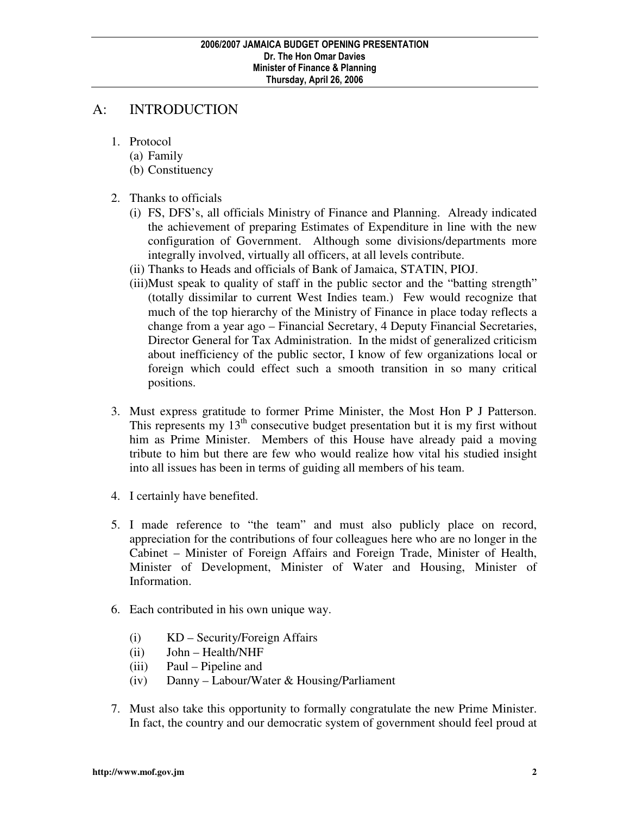# A: INTRODUCTION

- 1. Protocol
	- (a) Family
	- (b) Constituency
- 2. Thanks to officials
	- (i) FS, DFS's, all officials Ministry of Finance and Planning. Already indicated the achievement of preparing Estimates of Expenditure in line with the new configuration of Government. Although some divisions/departments more integrally involved, virtually all officers, at all levels contribute.
	- (ii) Thanks to Heads and officials of Bank of Jamaica, STATIN, PIOJ.
	- (iii)Must speak to quality of staff in the public sector and the "batting strength" (totally dissimilar to current West Indies team.) Few would recognize that much of the top hierarchy of the Ministry of Finance in place today reflects a change from a year ago – Financial Secretary, 4 Deputy Financial Secretaries, Director General for Tax Administration. In the midst of generalized criticism about inefficiency of the public sector, I know of few organizations local or foreign which could effect such a smooth transition in so many critical positions.
- 3. Must express gratitude to former Prime Minister, the Most Hon P J Patterson. This represents my  $13<sup>th</sup>$  consecutive budget presentation but it is my first without him as Prime Minister. Members of this House have already paid a moving tribute to him but there are few who would realize how vital his studied insight into all issues has been in terms of guiding all members of his team.
- 4. I certainly have benefited.
- 5. I made reference to "the team" and must also publicly place on record, appreciation for the contributions of four colleagues here who are no longer in the Cabinet – Minister of Foreign Affairs and Foreign Trade, Minister of Health, Minister of Development, Minister of Water and Housing, Minister of Information.
- 6. Each contributed in his own unique way.
	- (i) KD Security/Foreign Affairs
	- (ii) John Health/NHF
	- (iii) Paul Pipeline and
	- (iv) Danny Labour/Water & Housing/Parliament
- 7. Must also take this opportunity to formally congratulate the new Prime Minister. In fact, the country and our democratic system of government should feel proud at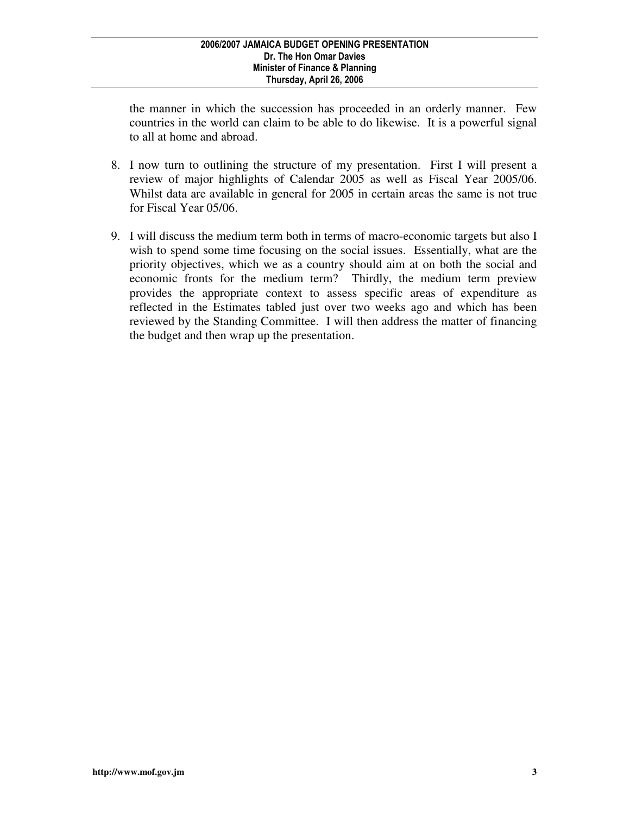the manner in which the succession has proceeded in an orderly manner. Few countries in the world can claim to be able to do likewise. It is a powerful signal to all at home and abroad.

- 8. I now turn to outlining the structure of my presentation. First I will present a review of major highlights of Calendar 2005 as well as Fiscal Year 2005/06. Whilst data are available in general for 2005 in certain areas the same is not true for Fiscal Year 05/06.
- 9. I will discuss the medium term both in terms of macro-economic targets but also I wish to spend some time focusing on the social issues. Essentially, what are the priority objectives, which we as a country should aim at on both the social and economic fronts for the medium term? Thirdly, the medium term preview provides the appropriate context to assess specific areas of expenditure as reflected in the Estimates tabled just over two weeks ago and which has been reviewed by the Standing Committee. I will then address the matter of financing the budget and then wrap up the presentation.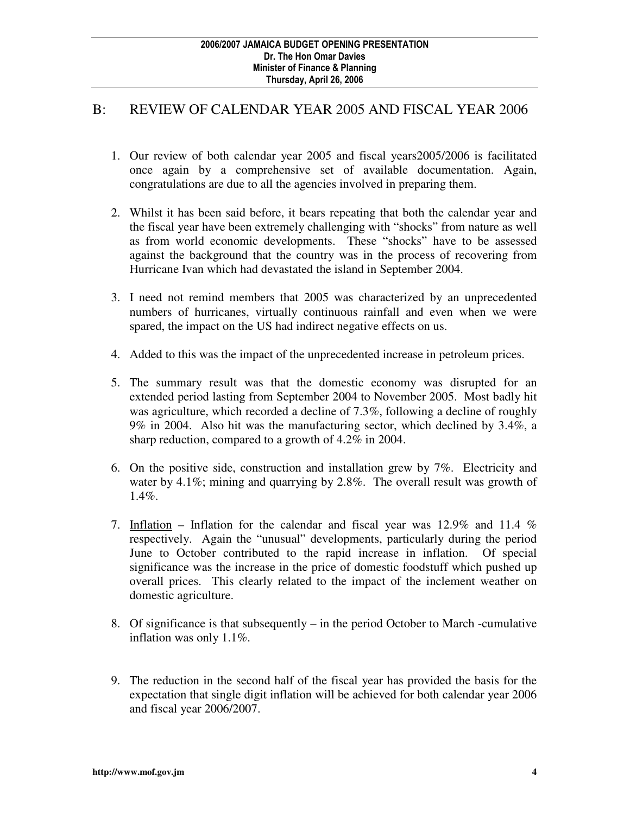# B: REVIEW OF CALENDAR YEAR 2005 AND FISCAL YEAR 2006

- 1. Our review of both calendar year 2005 and fiscal years2005/2006 is facilitated once again by a comprehensive set of available documentation. Again, congratulations are due to all the agencies involved in preparing them.
- 2. Whilst it has been said before, it bears repeating that both the calendar year and the fiscal year have been extremely challenging with "shocks" from nature as well as from world economic developments. These "shocks" have to be assessed against the background that the country was in the process of recovering from Hurricane Ivan which had devastated the island in September 2004.
- 3. I need not remind members that 2005 was characterized by an unprecedented numbers of hurricanes, virtually continuous rainfall and even when we were spared, the impact on the US had indirect negative effects on us.
- 4. Added to this was the impact of the unprecedented increase in petroleum prices.
- 5. The summary result was that the domestic economy was disrupted for an extended period lasting from September 2004 to November 2005. Most badly hit was agriculture, which recorded a decline of 7.3%, following a decline of roughly 9% in 2004. Also hit was the manufacturing sector, which declined by 3.4%, a sharp reduction, compared to a growth of 4.2% in 2004.
- 6. On the positive side, construction and installation grew by 7%. Electricity and water by 4.1%; mining and quarrying by 2.8%. The overall result was growth of 1.4%.
- 7. Inflation Inflation for the calendar and fiscal year was 12.9% and 11.4 % respectively. Again the "unusual" developments, particularly during the period June to October contributed to the rapid increase in inflation. Of special significance was the increase in the price of domestic foodstuff which pushed up overall prices. This clearly related to the impact of the inclement weather on domestic agriculture.
- 8. Of significance is that subsequently  $-$  in the period October to March -cumulative inflation was only 1.1%.
- 9. The reduction in the second half of the fiscal year has provided the basis for the expectation that single digit inflation will be achieved for both calendar year 2006 and fiscal year 2006/2007.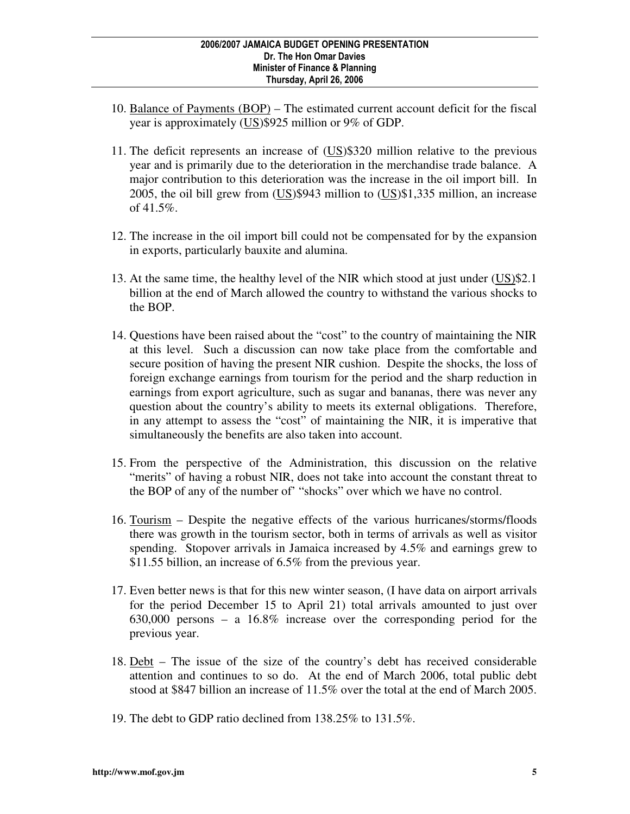- 10. Balance of Payments (BOP) The estimated current account deficit for the fiscal year is approximately (US)\$925 million or 9% of GDP.
- 11. The deficit represents an increase of (US)\$320 million relative to the previous year and is primarily due to the deterioration in the merchandise trade balance. A major contribution to this deterioration was the increase in the oil import bill. In 2005, the oil bill grew from (US)\$943 million to (US)\$1,335 million, an increase of 41.5%.
- 12. The increase in the oil import bill could not be compensated for by the expansion in exports, particularly bauxite and alumina.
- 13. At the same time, the healthy level of the NIR which stood at just under (US)\$2.1 billion at the end of March allowed the country to withstand the various shocks to the BOP.
- 14. Questions have been raised about the "cost" to the country of maintaining the NIR at this level. Such a discussion can now take place from the comfortable and secure position of having the present NIR cushion. Despite the shocks, the loss of foreign exchange earnings from tourism for the period and the sharp reduction in earnings from export agriculture, such as sugar and bananas, there was never any question about the country's ability to meets its external obligations. Therefore, in any attempt to assess the "cost" of maintaining the NIR, it is imperative that simultaneously the benefits are also taken into account.
- 15. From the perspective of the Administration, this discussion on the relative "merits" of having a robust NIR, does not take into account the constant threat to the BOP of any of the number of' "shocks" over which we have no control.
- 16. Tourism Despite the negative effects of the various hurricanes/storms/floods there was growth in the tourism sector, both in terms of arrivals as well as visitor spending. Stopover arrivals in Jamaica increased by 4.5% and earnings grew to \$11.55 billion, an increase of 6.5% from the previous year.
- 17. Even better news is that for this new winter season, (I have data on airport arrivals for the period December 15 to April 21) total arrivals amounted to just over 630,000 persons – a 16.8% increase over the corresponding period for the previous year.
- 18. Debt The issue of the size of the country's debt has received considerable attention and continues to so do. At the end of March 2006, total public debt stood at \$847 billion an increase of 11.5% over the total at the end of March 2005.
- 19. The debt to GDP ratio declined from 138.25% to 131.5%.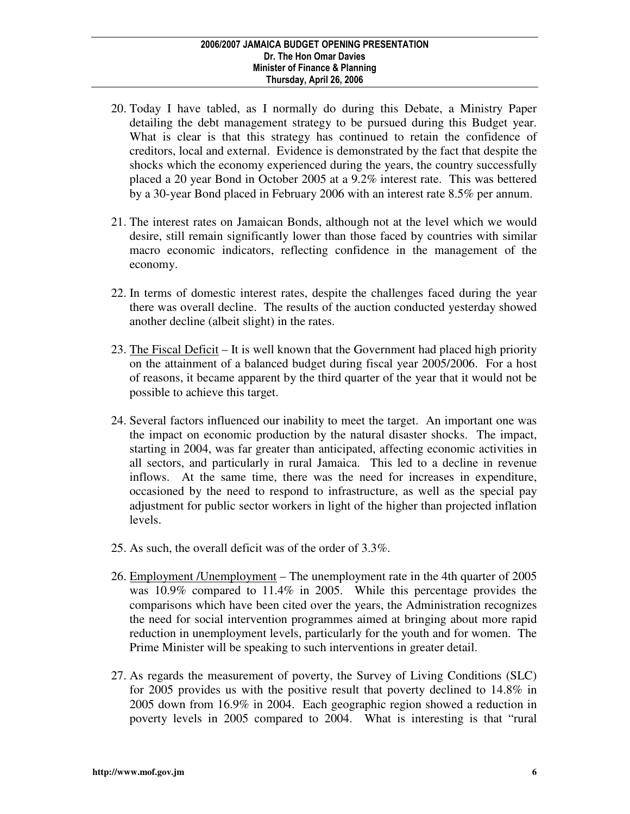- 20. Today I have tabled, as I normally do during this Debate, a Ministry Paper detailing the debt management strategy to be pursued during this Budget year. What is clear is that this strategy has continued to retain the confidence of creditors, local and external. Evidence is demonstrated by the fact that despite the shocks which the economy experienced during the years, the country successfully placed a 20 year Bond in October 2005 at a 9.2% interest rate. This was bettered by a 30-year Bond placed in February 2006 with an interest rate 8.5% per annum.
- 21. The interest rates on Jamaican Bonds, although not at the level which we would desire, still remain significantly lower than those faced by countries with similar macro economic indicators, reflecting confidence in the management of the economy.
- 22. In terms of domestic interest rates, despite the challenges faced during the year there was overall decline. The results of the auction conducted yesterday showed another decline (albeit slight) in the rates.
- 23. The Fiscal Deficit It is well known that the Government had placed high priority on the attainment of a balanced budget during fiscal year 2005/2006. For a host of reasons, it became apparent by the third quarter of the year that it would not be possible to achieve this target.
- 24. Several factors influenced our inability to meet the target. An important one was the impact on economic production by the natural disaster shocks. The impact, starting in 2004, was far greater than anticipated, affecting economic activities in all sectors, and particularly in rural Jamaica. This led to a decline in revenue inflows. At the same time, there was the need for increases in expenditure, occasioned by the need to respond to infrastructure, as well as the special pay adjustment for public sector workers in light of the higher than projected inflation levels.
- 25. As such, the overall deficit was of the order of 3.3%.
- 26. Employment /Unemployment The unemployment rate in the 4th quarter of 2005 was 10.9% compared to 11.4% in 2005. While this percentage provides the comparisons which have been cited over the years, the Administration recognizes the need for social intervention programmes aimed at bringing about more rapid reduction in unemployment levels, particularly for the youth and for women. The Prime Minister will be speaking to such interventions in greater detail.
- 27. As regards the measurement of poverty, the Survey of Living Conditions (SLC) for 2005 provides us with the positive result that poverty declined to 14.8% in 2005 down from 16.9% in 2004. Each geographic region showed a reduction in poverty levels in 2005 compared to 2004. What is interesting is that "rural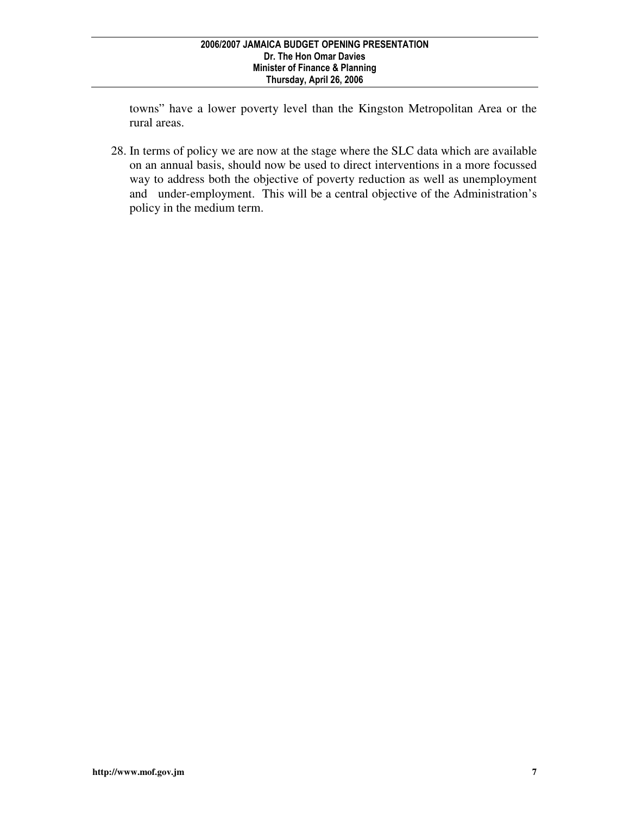towns" have a lower poverty level than the Kingston Metropolitan Area or the rural areas.

28. In terms of policy we are now at the stage where the SLC data which are available on an annual basis, should now be used to direct interventions in a more focussed way to address both the objective of poverty reduction as well as unemployment and under-employment. This will be a central objective of the Administration's policy in the medium term.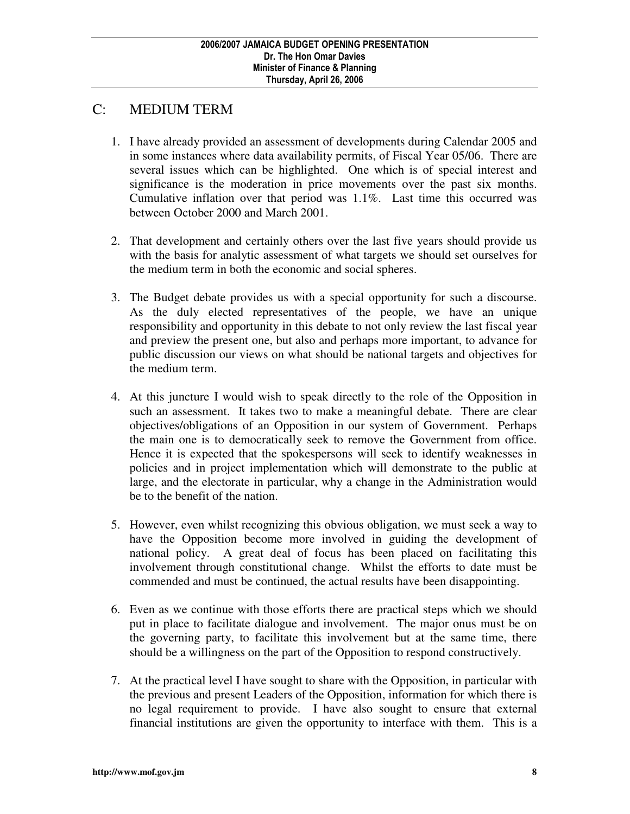# C: MEDIUM TERM

- 1. I have already provided an assessment of developments during Calendar 2005 and in some instances where data availability permits, of Fiscal Year 05/06. There are several issues which can be highlighted. One which is of special interest and significance is the moderation in price movements over the past six months. Cumulative inflation over that period was 1.1%. Last time this occurred was between October 2000 and March 2001.
- 2. That development and certainly others over the last five years should provide us with the basis for analytic assessment of what targets we should set ourselves for the medium term in both the economic and social spheres.
- 3. The Budget debate provides us with a special opportunity for such a discourse. As the duly elected representatives of the people, we have an unique responsibility and opportunity in this debate to not only review the last fiscal year and preview the present one, but also and perhaps more important, to advance for public discussion our views on what should be national targets and objectives for the medium term.
- 4. At this juncture I would wish to speak directly to the role of the Opposition in such an assessment. It takes two to make a meaningful debate. There are clear objectives/obligations of an Opposition in our system of Government. Perhaps the main one is to democratically seek to remove the Government from office. Hence it is expected that the spokespersons will seek to identify weaknesses in policies and in project implementation which will demonstrate to the public at large, and the electorate in particular, why a change in the Administration would be to the benefit of the nation.
- 5. However, even whilst recognizing this obvious obligation, we must seek a way to have the Opposition become more involved in guiding the development of national policy. A great deal of focus has been placed on facilitating this involvement through constitutional change. Whilst the efforts to date must be commended and must be continued, the actual results have been disappointing.
- 6. Even as we continue with those efforts there are practical steps which we should put in place to facilitate dialogue and involvement. The major onus must be on the governing party, to facilitate this involvement but at the same time, there should be a willingness on the part of the Opposition to respond constructively.
- 7. At the practical level I have sought to share with the Opposition, in particular with the previous and present Leaders of the Opposition, information for which there is no legal requirement to provide. I have also sought to ensure that external financial institutions are given the opportunity to interface with them. This is a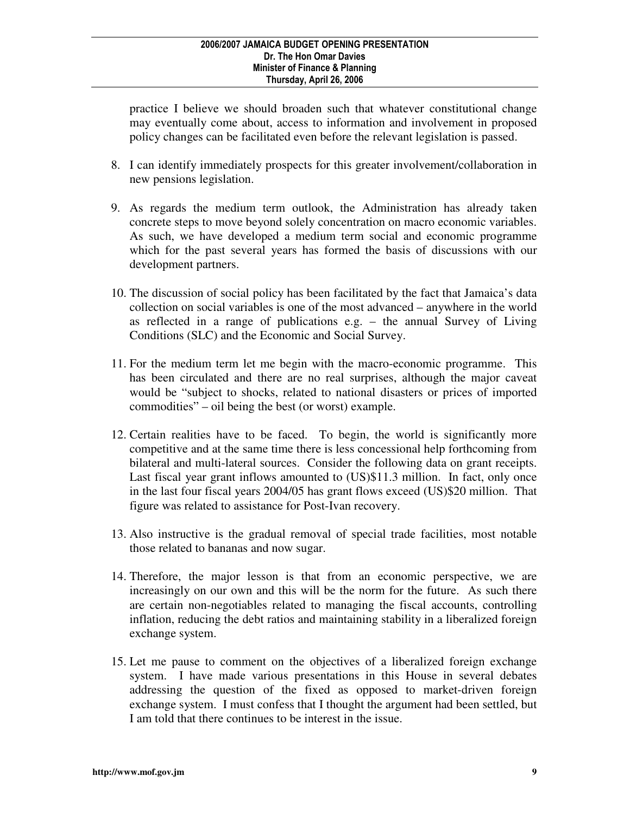practice I believe we should broaden such that whatever constitutional change may eventually come about, access to information and involvement in proposed policy changes can be facilitated even before the relevant legislation is passed.

- 8. I can identify immediately prospects for this greater involvement/collaboration in new pensions legislation.
- 9. As regards the medium term outlook, the Administration has already taken concrete steps to move beyond solely concentration on macro economic variables. As such, we have developed a medium term social and economic programme which for the past several years has formed the basis of discussions with our development partners.
- 10. The discussion of social policy has been facilitated by the fact that Jamaica's data collection on social variables is one of the most advanced – anywhere in the world as reflected in a range of publications e.g. – the annual Survey of Living Conditions (SLC) and the Economic and Social Survey.
- 11. For the medium term let me begin with the macro-economic programme. This has been circulated and there are no real surprises, although the major caveat would be "subject to shocks, related to national disasters or prices of imported commodities" – oil being the best (or worst) example.
- 12. Certain realities have to be faced. To begin, the world is significantly more competitive and at the same time there is less concessional help forthcoming from bilateral and multi-lateral sources. Consider the following data on grant receipts. Last fiscal year grant inflows amounted to  $(US)\$11.3$  million. In fact, only once in the last four fiscal years 2004/05 has grant flows exceed (US)\$20 million. That figure was related to assistance for Post-Ivan recovery.
- 13. Also instructive is the gradual removal of special trade facilities, most notable those related to bananas and now sugar.
- 14. Therefore, the major lesson is that from an economic perspective, we are increasingly on our own and this will be the norm for the future. As such there are certain non-negotiables related to managing the fiscal accounts, controlling inflation, reducing the debt ratios and maintaining stability in a liberalized foreign exchange system.
- 15. Let me pause to comment on the objectives of a liberalized foreign exchange system. I have made various presentations in this House in several debates addressing the question of the fixed as opposed to market-driven foreign exchange system. I must confess that I thought the argument had been settled, but I am told that there continues to be interest in the issue.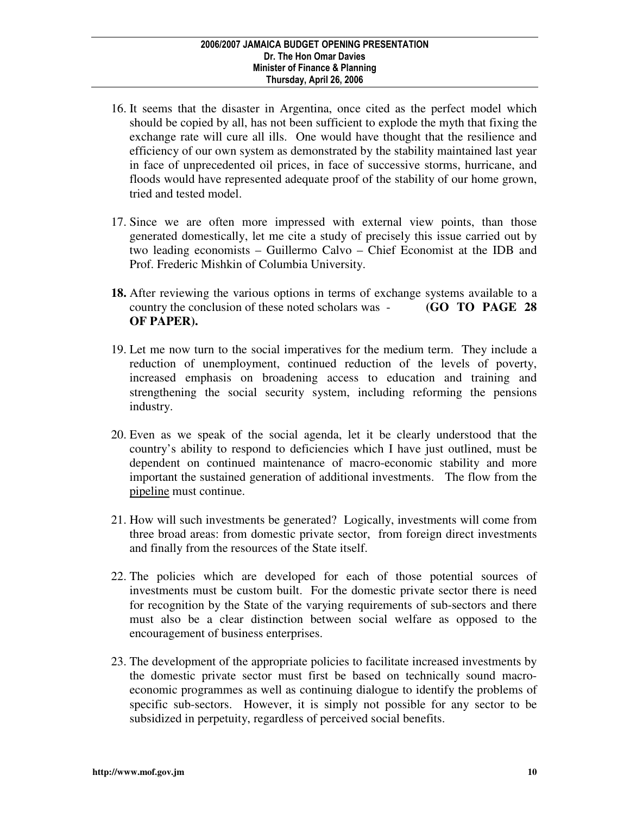- 16. It seems that the disaster in Argentina, once cited as the perfect model which should be copied by all, has not been sufficient to explode the myth that fixing the exchange rate will cure all ills. One would have thought that the resilience and efficiency of our own system as demonstrated by the stability maintained last year in face of unprecedented oil prices, in face of successive storms, hurricane, and floods would have represented adequate proof of the stability of our home grown, tried and tested model.
- 17. Since we are often more impressed with external view points, than those generated domestically, let me cite a study of precisely this issue carried out by two leading economists – Guillermo Calvo – Chief Economist at the IDB and Prof. Frederic Mishkin of Columbia University.
- **18.** After reviewing the various options in terms of exchange systems available to a country the conclusion of these noted scholars was - **(GO TO PAGE 28 OF PAPER).**
- 19. Let me now turn to the social imperatives for the medium term. They include a reduction of unemployment, continued reduction of the levels of poverty, increased emphasis on broadening access to education and training and strengthening the social security system, including reforming the pensions industry.
- 20. Even as we speak of the social agenda, let it be clearly understood that the country's ability to respond to deficiencies which I have just outlined, must be dependent on continued maintenance of macro-economic stability and more important the sustained generation of additional investments. The flow from the pipeline must continue.
- 21. How will such investments be generated? Logically, investments will come from three broad areas: from domestic private sector, from foreign direct investments and finally from the resources of the State itself.
- 22. The policies which are developed for each of those potential sources of investments must be custom built. For the domestic private sector there is need for recognition by the State of the varying requirements of sub-sectors and there must also be a clear distinction between social welfare as opposed to the encouragement of business enterprises.
- 23. The development of the appropriate policies to facilitate increased investments by the domestic private sector must first be based on technically sound macroeconomic programmes as well as continuing dialogue to identify the problems of specific sub-sectors. However, it is simply not possible for any sector to be subsidized in perpetuity, regardless of perceived social benefits.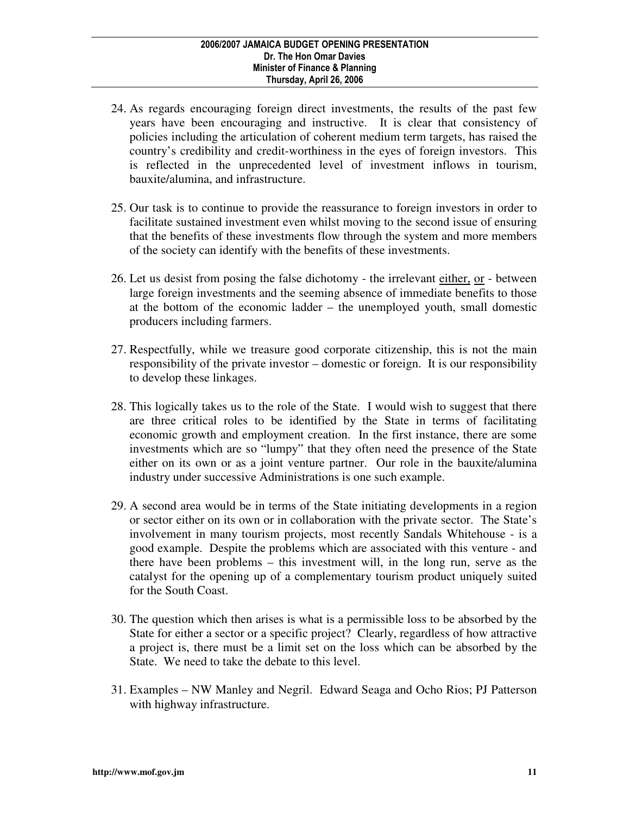- 24. As regards encouraging foreign direct investments, the results of the past few years have been encouraging and instructive. It is clear that consistency of policies including the articulation of coherent medium term targets, has raised the country's credibility and credit-worthiness in the eyes of foreign investors. This is reflected in the unprecedented level of investment inflows in tourism, bauxite/alumina, and infrastructure.
- 25. Our task is to continue to provide the reassurance to foreign investors in order to facilitate sustained investment even whilst moving to the second issue of ensuring that the benefits of these investments flow through the system and more members of the society can identify with the benefits of these investments.
- 26. Let us desist from posing the false dichotomy the irrelevant either, or between large foreign investments and the seeming absence of immediate benefits to those at the bottom of the economic ladder – the unemployed youth, small domestic producers including farmers.
- 27. Respectfully, while we treasure good corporate citizenship, this is not the main responsibility of the private investor – domestic or foreign. It is our responsibility to develop these linkages.
- 28. This logically takes us to the role of the State. I would wish to suggest that there are three critical roles to be identified by the State in terms of facilitating economic growth and employment creation. In the first instance, there are some investments which are so "lumpy" that they often need the presence of the State either on its own or as a joint venture partner. Our role in the bauxite/alumina industry under successive Administrations is one such example.
- 29. A second area would be in terms of the State initiating developments in a region or sector either on its own or in collaboration with the private sector. The State's involvement in many tourism projects, most recently Sandals Whitehouse - is a good example. Despite the problems which are associated with this venture - and there have been problems – this investment will, in the long run, serve as the catalyst for the opening up of a complementary tourism product uniquely suited for the South Coast.
- 30. The question which then arises is what is a permissible loss to be absorbed by the State for either a sector or a specific project? Clearly, regardless of how attractive a project is, there must be a limit set on the loss which can be absorbed by the State. We need to take the debate to this level.
- 31. Examples NW Manley and Negril. Edward Seaga and Ocho Rios; PJ Patterson with highway infrastructure.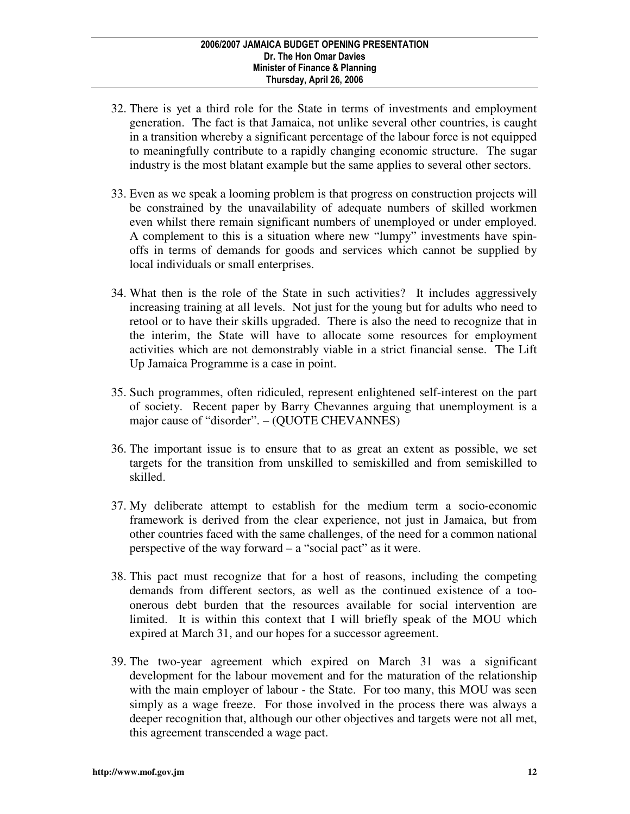- 32. There is yet a third role for the State in terms of investments and employment generation. The fact is that Jamaica, not unlike several other countries, is caught in a transition whereby a significant percentage of the labour force is not equipped to meaningfully contribute to a rapidly changing economic structure. The sugar industry is the most blatant example but the same applies to several other sectors.
- 33. Even as we speak a looming problem is that progress on construction projects will be constrained by the unavailability of adequate numbers of skilled workmen even whilst there remain significant numbers of unemployed or under employed. A complement to this is a situation where new "lumpy" investments have spinoffs in terms of demands for goods and services which cannot be supplied by local individuals or small enterprises.
- 34. What then is the role of the State in such activities? It includes aggressively increasing training at all levels. Not just for the young but for adults who need to retool or to have their skills upgraded. There is also the need to recognize that in the interim, the State will have to allocate some resources for employment activities which are not demonstrably viable in a strict financial sense. The Lift Up Jamaica Programme is a case in point.
- 35. Such programmes, often ridiculed, represent enlightened self-interest on the part of society. Recent paper by Barry Chevannes arguing that unemployment is a major cause of "disorder". – (QUOTE CHEVANNES)
- 36. The important issue is to ensure that to as great an extent as possible, we set targets for the transition from unskilled to semiskilled and from semiskilled to skilled.
- 37. My deliberate attempt to establish for the medium term a socio-economic framework is derived from the clear experience, not just in Jamaica, but from other countries faced with the same challenges, of the need for a common national perspective of the way forward – a "social pact" as it were.
- 38. This pact must recognize that for a host of reasons, including the competing demands from different sectors, as well as the continued existence of a tooonerous debt burden that the resources available for social intervention are limited. It is within this context that I will briefly speak of the MOU which expired at March 31, and our hopes for a successor agreement.
- 39. The two-year agreement which expired on March 31 was a significant development for the labour movement and for the maturation of the relationship with the main employer of labour - the State. For too many, this MOU was seen simply as a wage freeze. For those involved in the process there was always a deeper recognition that, although our other objectives and targets were not all met, this agreement transcended a wage pact.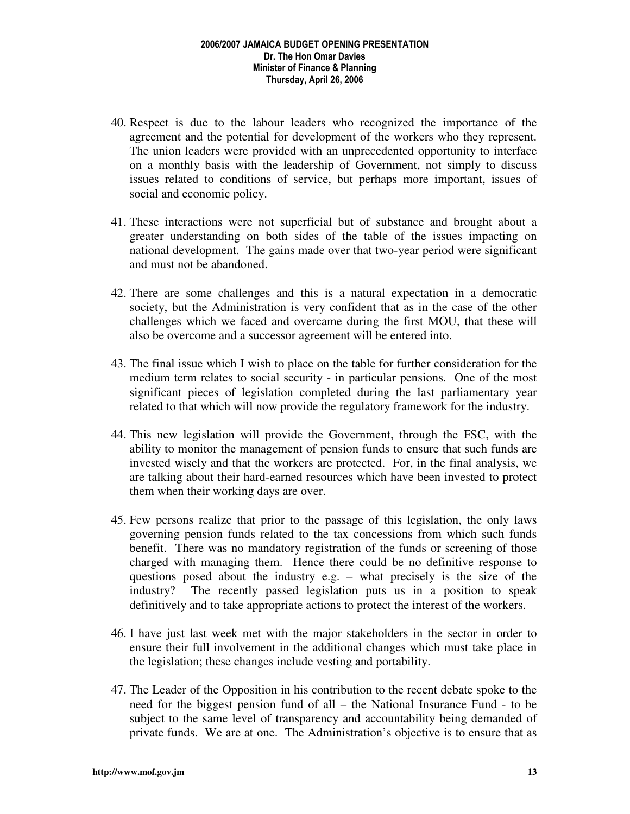- 40. Respect is due to the labour leaders who recognized the importance of the agreement and the potential for development of the workers who they represent. The union leaders were provided with an unprecedented opportunity to interface on a monthly basis with the leadership of Government, not simply to discuss issues related to conditions of service, but perhaps more important, issues of social and economic policy.
- 41. These interactions were not superficial but of substance and brought about a greater understanding on both sides of the table of the issues impacting on national development. The gains made over that two-year period were significant and must not be abandoned.
- 42. There are some challenges and this is a natural expectation in a democratic society, but the Administration is very confident that as in the case of the other challenges which we faced and overcame during the first MOU, that these will also be overcome and a successor agreement will be entered into.
- 43. The final issue which I wish to place on the table for further consideration for the medium term relates to social security - in particular pensions. One of the most significant pieces of legislation completed during the last parliamentary year related to that which will now provide the regulatory framework for the industry.
- 44. This new legislation will provide the Government, through the FSC, with the ability to monitor the management of pension funds to ensure that such funds are invested wisely and that the workers are protected. For, in the final analysis, we are talking about their hard-earned resources which have been invested to protect them when their working days are over.
- 45. Few persons realize that prior to the passage of this legislation, the only laws governing pension funds related to the tax concessions from which such funds benefit. There was no mandatory registration of the funds or screening of those charged with managing them. Hence there could be no definitive response to questions posed about the industry e.g. – what precisely is the size of the industry? The recently passed legislation puts us in a position to speak definitively and to take appropriate actions to protect the interest of the workers.
- 46. I have just last week met with the major stakeholders in the sector in order to ensure their full involvement in the additional changes which must take place in the legislation; these changes include vesting and portability.
- 47. The Leader of the Opposition in his contribution to the recent debate spoke to the need for the biggest pension fund of all – the National Insurance Fund - to be subject to the same level of transparency and accountability being demanded of private funds. We are at one. The Administration's objective is to ensure that as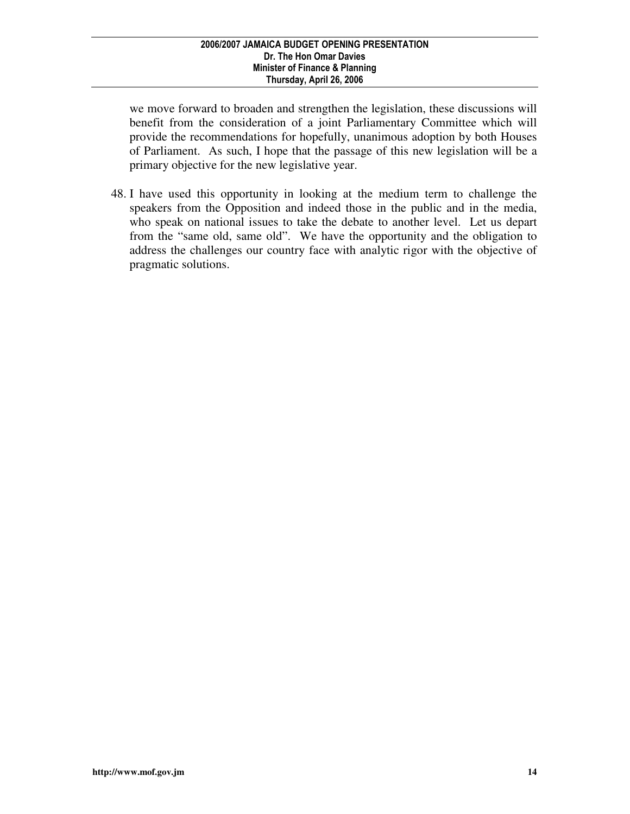we move forward to broaden and strengthen the legislation, these discussions will benefit from the consideration of a joint Parliamentary Committee which will provide the recommendations for hopefully, unanimous adoption by both Houses of Parliament. As such, I hope that the passage of this new legislation will be a primary objective for the new legislative year.

48. I have used this opportunity in looking at the medium term to challenge the speakers from the Opposition and indeed those in the public and in the media, who speak on national issues to take the debate to another level. Let us depart from the "same old, same old". We have the opportunity and the obligation to address the challenges our country face with analytic rigor with the objective of pragmatic solutions.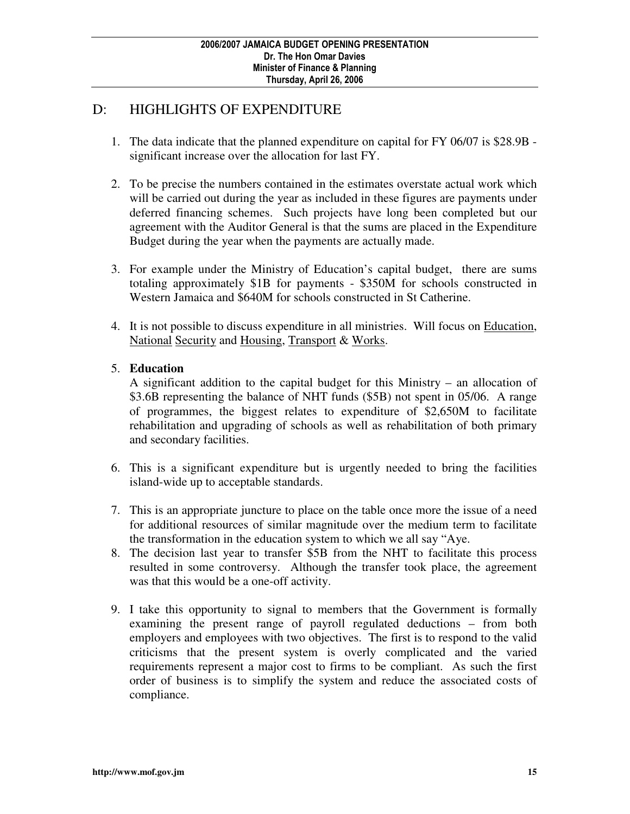# D: HIGHLIGHTS OF EXPENDITURE

- 1. The data indicate that the planned expenditure on capital for FY 06/07 is \$28.9B significant increase over the allocation for last FY.
- 2. To be precise the numbers contained in the estimates overstate actual work which will be carried out during the year as included in these figures are payments under deferred financing schemes. Such projects have long been completed but our agreement with the Auditor General is that the sums are placed in the Expenditure Budget during the year when the payments are actually made.
- 3. For example under the Ministry of Education's capital budget, there are sums totaling approximately \$1B for payments - \$350M for schools constructed in Western Jamaica and \$640M for schools constructed in St Catherine.
- 4. It is not possible to discuss expenditure in all ministries. Will focus on Education, National Security and Housing, Transport & Works.
- 5. **Education**

 A significant addition to the capital budget for this Ministry – an allocation of \$3.6B representing the balance of NHT funds (\$5B) not spent in 05/06. A range of programmes, the biggest relates to expenditure of \$2,650M to facilitate rehabilitation and upgrading of schools as well as rehabilitation of both primary and secondary facilities.

- 6. This is a significant expenditure but is urgently needed to bring the facilities island-wide up to acceptable standards.
- 7. This is an appropriate juncture to place on the table once more the issue of a need for additional resources of similar magnitude over the medium term to facilitate the transformation in the education system to which we all say "Aye.
- 8. The decision last year to transfer \$5B from the NHT to facilitate this process resulted in some controversy. Although the transfer took place, the agreement was that this would be a one-off activity.
- 9. I take this opportunity to signal to members that the Government is formally examining the present range of payroll regulated deductions – from both employers and employees with two objectives. The first is to respond to the valid criticisms that the present system is overly complicated and the varied requirements represent a major cost to firms to be compliant. As such the first order of business is to simplify the system and reduce the associated costs of compliance.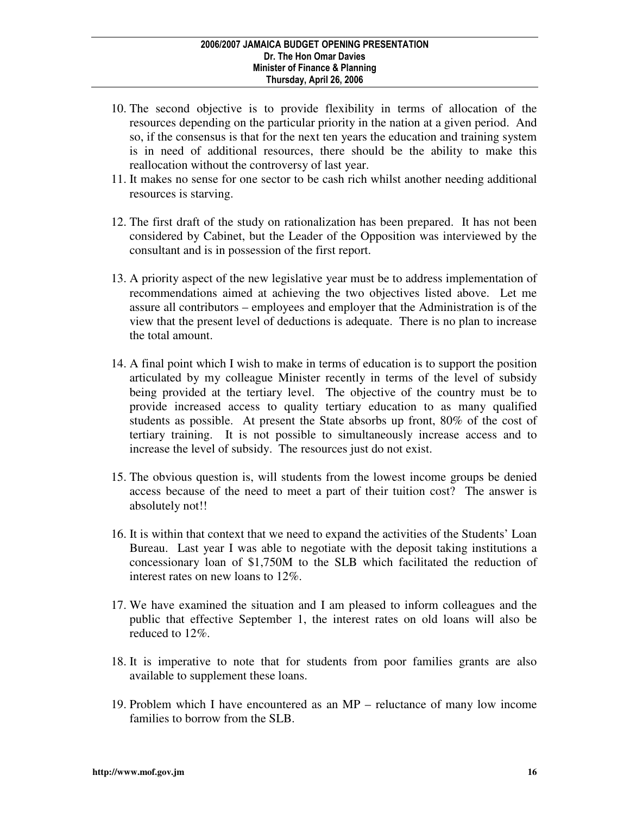- 10. The second objective is to provide flexibility in terms of allocation of the resources depending on the particular priority in the nation at a given period. And so, if the consensus is that for the next ten years the education and training system is in need of additional resources, there should be the ability to make this reallocation without the controversy of last year.
- 11. It makes no sense for one sector to be cash rich whilst another needing additional resources is starving.
- 12. The first draft of the study on rationalization has been prepared. It has not been considered by Cabinet, but the Leader of the Opposition was interviewed by the consultant and is in possession of the first report.
- 13. A priority aspect of the new legislative year must be to address implementation of recommendations aimed at achieving the two objectives listed above. Let me assure all contributors – employees and employer that the Administration is of the view that the present level of deductions is adequate. There is no plan to increase the total amount.
- 14. A final point which I wish to make in terms of education is to support the position articulated by my colleague Minister recently in terms of the level of subsidy being provided at the tertiary level. The objective of the country must be to provide increased access to quality tertiary education to as many qualified students as possible. At present the State absorbs up front, 80% of the cost of tertiary training. It is not possible to simultaneously increase access and to increase the level of subsidy. The resources just do not exist.
- 15. The obvious question is, will students from the lowest income groups be denied access because of the need to meet a part of their tuition cost? The answer is absolutely not!!
- 16. It is within that context that we need to expand the activities of the Students' Loan Bureau. Last year I was able to negotiate with the deposit taking institutions a concessionary loan of \$1,750M to the SLB which facilitated the reduction of interest rates on new loans to 12%.
- 17. We have examined the situation and I am pleased to inform colleagues and the public that effective September 1, the interest rates on old loans will also be reduced to 12%.
- 18. It is imperative to note that for students from poor families grants are also available to supplement these loans.
- 19. Problem which I have encountered as an MP reluctance of many low income families to borrow from the SLB.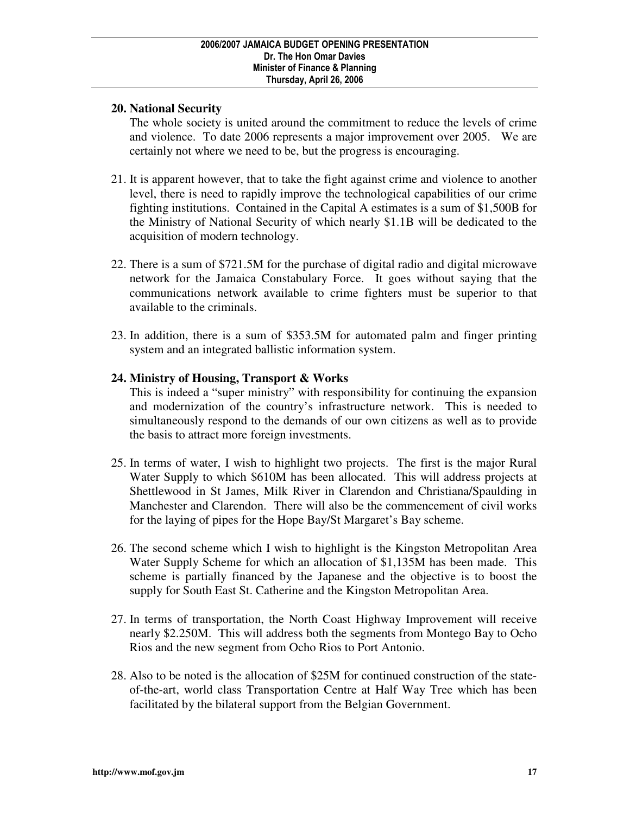### **20. National Security**

 The whole society is united around the commitment to reduce the levels of crime and violence. To date 2006 represents a major improvement over 2005. We are certainly not where we need to be, but the progress is encouraging.

- 21. It is apparent however, that to take the fight against crime and violence to another level, there is need to rapidly improve the technological capabilities of our crime fighting institutions. Contained in the Capital A estimates is a sum of \$1,500B for the Ministry of National Security of which nearly \$1.1B will be dedicated to the acquisition of modern technology.
- 22. There is a sum of \$721.5M for the purchase of digital radio and digital microwave network for the Jamaica Constabulary Force. It goes without saying that the communications network available to crime fighters must be superior to that available to the criminals.
- 23. In addition, there is a sum of \$353.5M for automated palm and finger printing system and an integrated ballistic information system.

### **24. Ministry of Housing, Transport & Works**

 This is indeed a "super ministry" with responsibility for continuing the expansion and modernization of the country's infrastructure network. This is needed to simultaneously respond to the demands of our own citizens as well as to provide the basis to attract more foreign investments.

- 25. In terms of water, I wish to highlight two projects. The first is the major Rural Water Supply to which \$610M has been allocated. This will address projects at Shettlewood in St James, Milk River in Clarendon and Christiana/Spaulding in Manchester and Clarendon. There will also be the commencement of civil works for the laying of pipes for the Hope Bay/St Margaret's Bay scheme.
- 26. The second scheme which I wish to highlight is the Kingston Metropolitan Area Water Supply Scheme for which an allocation of \$1,135M has been made. This scheme is partially financed by the Japanese and the objective is to boost the supply for South East St. Catherine and the Kingston Metropolitan Area.
- 27. In terms of transportation, the North Coast Highway Improvement will receive nearly \$2.250M. This will address both the segments from Montego Bay to Ocho Rios and the new segment from Ocho Rios to Port Antonio.
- 28. Also to be noted is the allocation of \$25M for continued construction of the stateof-the-art, world class Transportation Centre at Half Way Tree which has been facilitated by the bilateral support from the Belgian Government.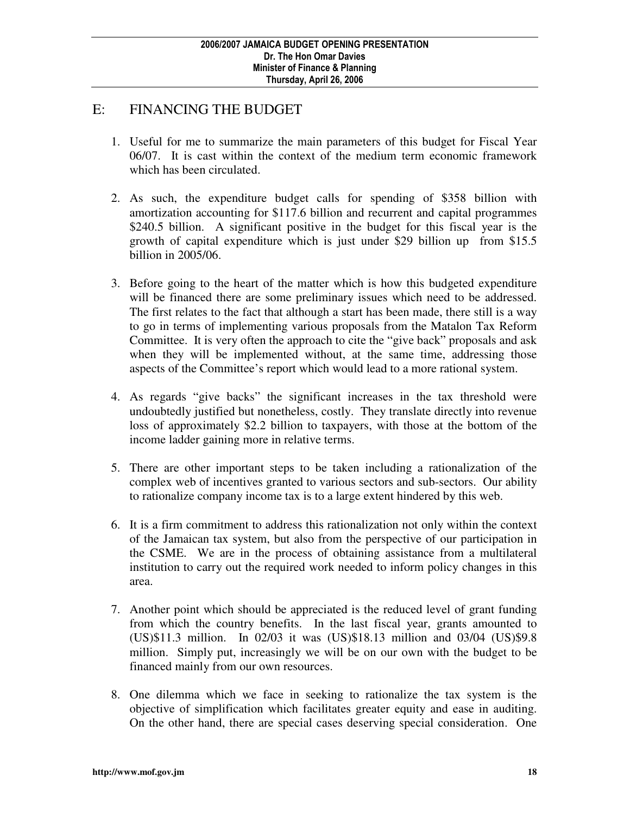## E: FINANCING THE BUDGET

- 1. Useful for me to summarize the main parameters of this budget for Fiscal Year 06/07. It is cast within the context of the medium term economic framework which has been circulated.
- 2. As such, the expenditure budget calls for spending of \$358 billion with amortization accounting for \$117.6 billion and recurrent and capital programmes \$240.5 billion. A significant positive in the budget for this fiscal year is the growth of capital expenditure which is just under \$29 billion up from \$15.5 billion in 2005/06.
- 3. Before going to the heart of the matter which is how this budgeted expenditure will be financed there are some preliminary issues which need to be addressed. The first relates to the fact that although a start has been made, there still is a way to go in terms of implementing various proposals from the Matalon Tax Reform Committee. It is very often the approach to cite the "give back" proposals and ask when they will be implemented without, at the same time, addressing those aspects of the Committee's report which would lead to a more rational system.
- 4. As regards "give backs" the significant increases in the tax threshold were undoubtedly justified but nonetheless, costly. They translate directly into revenue loss of approximately \$2.2 billion to taxpayers, with those at the bottom of the income ladder gaining more in relative terms.
- 5. There are other important steps to be taken including a rationalization of the complex web of incentives granted to various sectors and sub-sectors. Our ability to rationalize company income tax is to a large extent hindered by this web.
- 6. It is a firm commitment to address this rationalization not only within the context of the Jamaican tax system, but also from the perspective of our participation in the CSME. We are in the process of obtaining assistance from a multilateral institution to carry out the required work needed to inform policy changes in this area.
- 7. Another point which should be appreciated is the reduced level of grant funding from which the country benefits. In the last fiscal year, grants amounted to (US)\$11.3 million. In 02/03 it was (US)\$18.13 million and 03/04 (US)\$9.8 million. Simply put, increasingly we will be on our own with the budget to be financed mainly from our own resources.
- 8. One dilemma which we face in seeking to rationalize the tax system is the objective of simplification which facilitates greater equity and ease in auditing. On the other hand, there are special cases deserving special consideration. One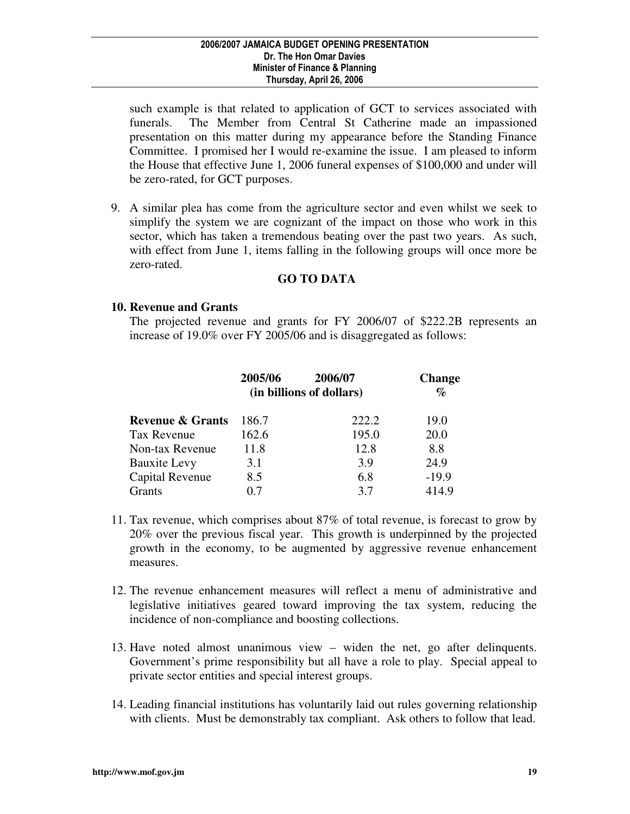such example is that related to application of GCT to services associated with funerals. The Member from Central St Catherine made an impassioned presentation on this matter during my appearance before the Standing Finance Committee. I promised her I would re-examine the issue. I am pleased to inform the House that effective June 1, 2006 funeral expenses of \$100,000 and under will be zero-rated, for GCT purposes.

9. A similar plea has come from the agriculture sector and even whilst we seek to simplify the system we are cognizant of the impact on those who work in this sector, which has taken a tremendous beating over the past two years. As such, with effect from June 1, items falling in the following groups will once more be zero-rated.

### **GO TO DATA**

#### **10. Revenue and Grants**

 The projected revenue and grants for FY 2006/07 of \$222.2B represents an increase of 19.0% over FY 2005/06 and is disaggregated as follows:

|                             | 2005/06 | 2006/07<br>(in billions of dollars) | <b>Change</b><br>$\%$ |
|-----------------------------|---------|-------------------------------------|-----------------------|
| <b>Revenue &amp; Grants</b> | 186.7   | 222.2                               | 19.0                  |
| <b>Tax Revenue</b>          | 162.6   | 195.0                               | 20.0                  |
| Non-tax Revenue             | 11.8    | 12.8                                | 8.8                   |
| <b>Bauxite Levy</b>         | 3.1     | 3.9                                 | 24.9                  |
| Capital Revenue             | 8.5     | 6.8                                 | $-19.9$               |
| Grants                      | በ 7     | 3.7                                 | 414.9                 |

- 11. Tax revenue, which comprises about 87% of total revenue, is forecast to grow by 20% over the previous fiscal year. This growth is underpinned by the projected growth in the economy, to be augmented by aggressive revenue enhancement measures.
- 12. The revenue enhancement measures will reflect a menu of administrative and legislative initiatives geared toward improving the tax system, reducing the incidence of non-compliance and boosting collections.
- 13. Have noted almost unanimous view widen the net, go after delinquents. Government's prime responsibility but all have a role to play. Special appeal to private sector entities and special interest groups.
- 14. Leading financial institutions has voluntarily laid out rules governing relationship with clients. Must be demonstrably tax compliant. Ask others to follow that lead.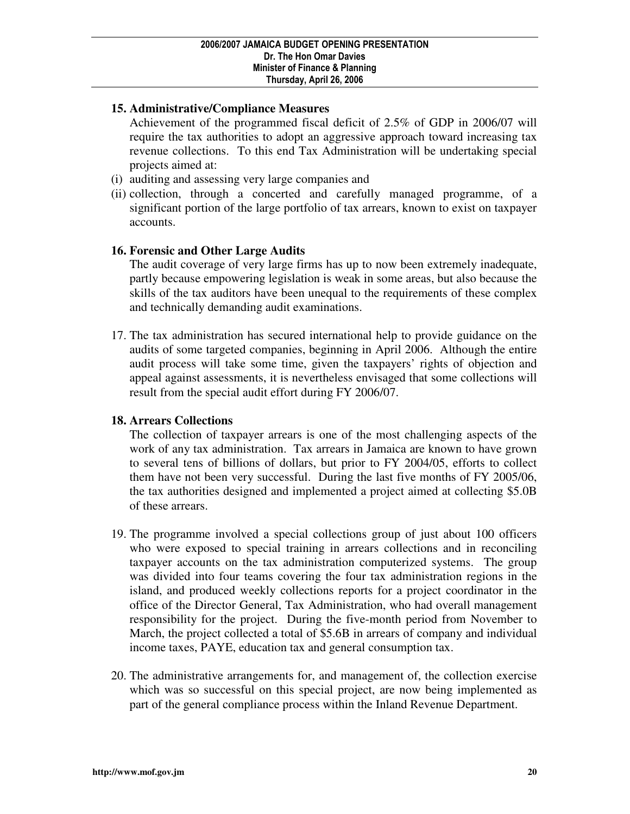### **15. Administrative/Compliance Measures**

 Achievement of the programmed fiscal deficit of 2.5% of GDP in 2006/07 will require the tax authorities to adopt an aggressive approach toward increasing tax revenue collections. To this end Tax Administration will be undertaking special projects aimed at:

- (i) auditing and assessing very large companies and
- (ii) collection, through a concerted and carefully managed programme, of a significant portion of the large portfolio of tax arrears, known to exist on taxpayer accounts.

### **16. Forensic and Other Large Audits**

 The audit coverage of very large firms has up to now been extremely inadequate, partly because empowering legislation is weak in some areas, but also because the skills of the tax auditors have been unequal to the requirements of these complex and technically demanding audit examinations.

17. The tax administration has secured international help to provide guidance on the audits of some targeted companies, beginning in April 2006. Although the entire audit process will take some time, given the taxpayers' rights of objection and appeal against assessments, it is nevertheless envisaged that some collections will result from the special audit effort during FY 2006/07.

### **18. Arrears Collections**

 The collection of taxpayer arrears is one of the most challenging aspects of the work of any tax administration. Tax arrears in Jamaica are known to have grown to several tens of billions of dollars, but prior to FY 2004/05, efforts to collect them have not been very successful. During the last five months of FY 2005/06, the tax authorities designed and implemented a project aimed at collecting \$5.0B of these arrears.

- 19. The programme involved a special collections group of just about 100 officers who were exposed to special training in arrears collections and in reconciling taxpayer accounts on the tax administration computerized systems. The group was divided into four teams covering the four tax administration regions in the island, and produced weekly collections reports for a project coordinator in the office of the Director General, Tax Administration, who had overall management responsibility for the project. During the five-month period from November to March, the project collected a total of \$5.6B in arrears of company and individual income taxes, PAYE, education tax and general consumption tax.
- 20. The administrative arrangements for, and management of, the collection exercise which was so successful on this special project, are now being implemented as part of the general compliance process within the Inland Revenue Department.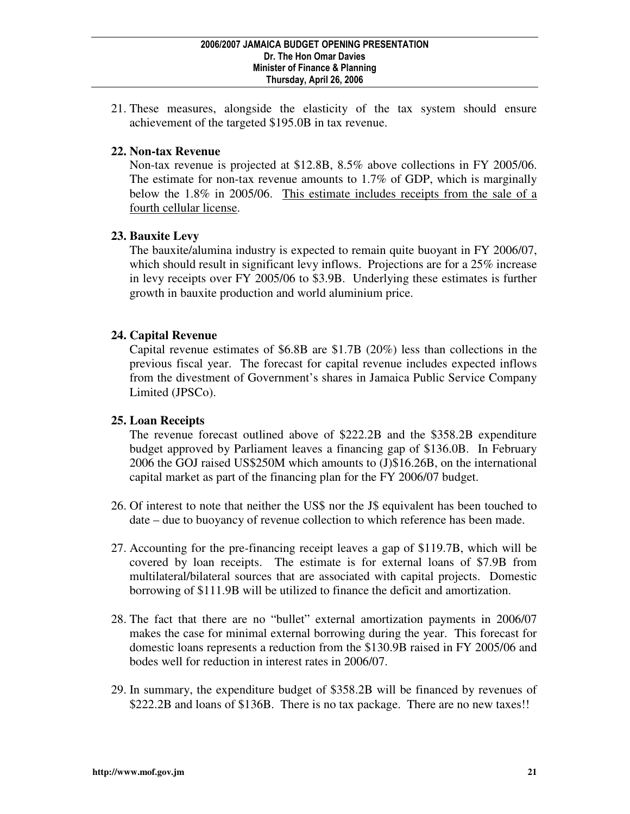21. These measures, alongside the elasticity of the tax system should ensure achievement of the targeted \$195.0B in tax revenue.

### **22. Non-tax Revenue**

 Non-tax revenue is projected at \$12.8B, 8.5% above collections in FY 2005/06. The estimate for non-tax revenue amounts to 1.7% of GDP, which is marginally below the 1.8% in 2005/06. This estimate includes receipts from the sale of a fourth cellular license.

### **23. Bauxite Levy**

 The bauxite/alumina industry is expected to remain quite buoyant in FY 2006/07, which should result in significant levy inflows. Projections are for a 25% increase in levy receipts over FY 2005/06 to \$3.9B. Underlying these estimates is further growth in bauxite production and world aluminium price.

### **24. Capital Revenue**

 Capital revenue estimates of \$6.8B are \$1.7B (20%) less than collections in the previous fiscal year. The forecast for capital revenue includes expected inflows from the divestment of Government's shares in Jamaica Public Service Company Limited (JPSCo).

#### **25. Loan Receipts**

 The revenue forecast outlined above of \$222.2B and the \$358.2B expenditure budget approved by Parliament leaves a financing gap of \$136.0B. In February 2006 the GOJ raised US\$250M which amounts to (J)\$16.26B, on the international capital market as part of the financing plan for the FY 2006/07 budget.

- 26. Of interest to note that neither the US\$ nor the J\$ equivalent has been touched to date – due to buoyancy of revenue collection to which reference has been made.
- 27. Accounting for the pre-financing receipt leaves a gap of \$119.7B, which will be covered by loan receipts. The estimate is for external loans of \$7.9B from multilateral/bilateral sources that are associated with capital projects. Domestic borrowing of \$111.9B will be utilized to finance the deficit and amortization.
- 28. The fact that there are no "bullet" external amortization payments in 2006/07 makes the case for minimal external borrowing during the year. This forecast for domestic loans represents a reduction from the \$130.9B raised in FY 2005/06 and bodes well for reduction in interest rates in 2006/07.
- 29. In summary, the expenditure budget of \$358.2B will be financed by revenues of \$222.2B and loans of \$136B. There is no tax package. There are no new taxes!!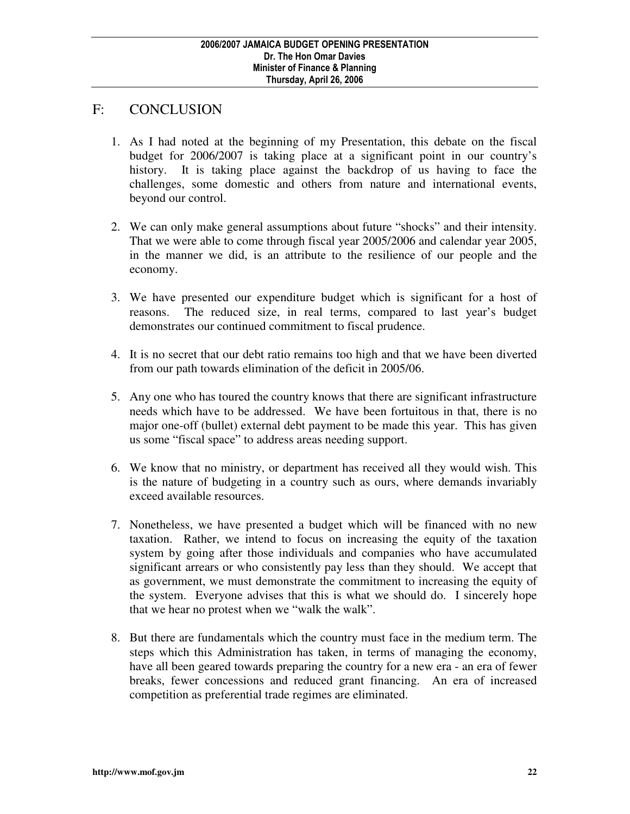### F: CONCLUSION

- 1. As I had noted at the beginning of my Presentation, this debate on the fiscal budget for 2006/2007 is taking place at a significant point in our country's history. It is taking place against the backdrop of us having to face the challenges, some domestic and others from nature and international events, beyond our control.
- 2. We can only make general assumptions about future "shocks" and their intensity. That we were able to come through fiscal year 2005/2006 and calendar year 2005, in the manner we did, is an attribute to the resilience of our people and the economy.
- 3. We have presented our expenditure budget which is significant for a host of reasons. The reduced size, in real terms, compared to last year's budget demonstrates our continued commitment to fiscal prudence.
- 4. It is no secret that our debt ratio remains too high and that we have been diverted from our path towards elimination of the deficit in 2005/06.
- 5. Any one who has toured the country knows that there are significant infrastructure needs which have to be addressed. We have been fortuitous in that, there is no major one-off (bullet) external debt payment to be made this year. This has given us some "fiscal space" to address areas needing support.
- 6. We know that no ministry, or department has received all they would wish. This is the nature of budgeting in a country such as ours, where demands invariably exceed available resources.
- 7. Nonetheless, we have presented a budget which will be financed with no new taxation. Rather, we intend to focus on increasing the equity of the taxation system by going after those individuals and companies who have accumulated significant arrears or who consistently pay less than they should. We accept that as government, we must demonstrate the commitment to increasing the equity of the system. Everyone advises that this is what we should do. I sincerely hope that we hear no protest when we "walk the walk".
- 8. But there are fundamentals which the country must face in the medium term. The steps which this Administration has taken, in terms of managing the economy, have all been geared towards preparing the country for a new era - an era of fewer breaks, fewer concessions and reduced grant financing. An era of increased competition as preferential trade regimes are eliminated.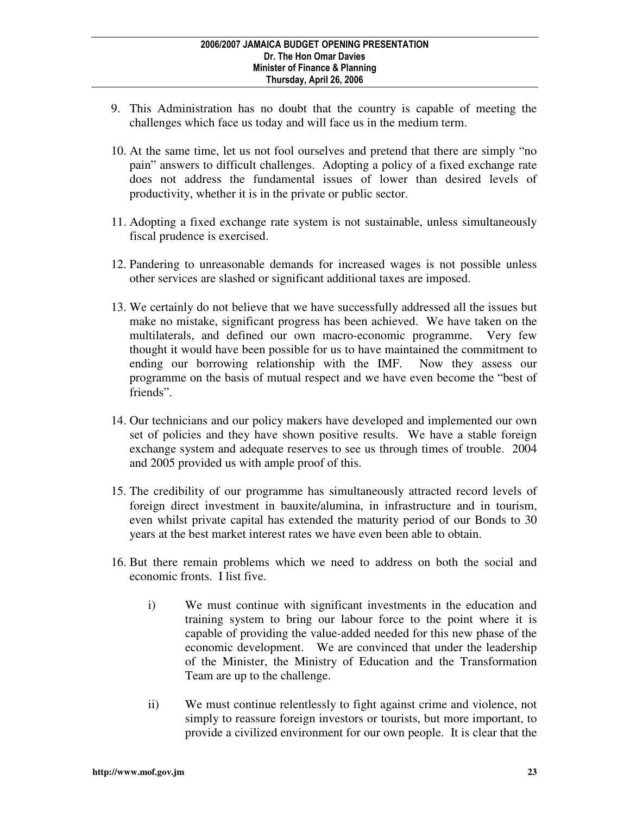- 9. This Administration has no doubt that the country is capable of meeting the challenges which face us today and will face us in the medium term.
- 10. At the same time, let us not fool ourselves and pretend that there are simply "no pain" answers to difficult challenges. Adopting a policy of a fixed exchange rate does not address the fundamental issues of lower than desired levels of productivity, whether it is in the private or public sector.
- 11. Adopting a fixed exchange rate system is not sustainable, unless simultaneously fiscal prudence is exercised.
- 12. Pandering to unreasonable demands for increased wages is not possible unless other services are slashed or significant additional taxes are imposed.
- 13. We certainly do not believe that we have successfully addressed all the issues but make no mistake, significant progress has been achieved. We have taken on the multilaterals, and defined our own macro-economic programme. Very few thought it would have been possible for us to have maintained the commitment to ending our borrowing relationship with the IMF. Now they assess our programme on the basis of mutual respect and we have even become the "best of friends".
- 14. Our technicians and our policy makers have developed and implemented our own set of policies and they have shown positive results. We have a stable foreign exchange system and adequate reserves to see us through times of trouble. 2004 and 2005 provided us with ample proof of this.
- 15. The credibility of our programme has simultaneously attracted record levels of foreign direct investment in bauxite/alumina, in infrastructure and in tourism, even whilst private capital has extended the maturity period of our Bonds to 30 years at the best market interest rates we have even been able to obtain.
- 16. But there remain problems which we need to address on both the social and economic fronts. I list five.
	- i) We must continue with significant investments in the education and training system to bring our labour force to the point where it is capable of providing the value-added needed for this new phase of the economic development. We are convinced that under the leadership of the Minister, the Ministry of Education and the Transformation Team are up to the challenge.
	- ii) We must continue relentlessly to fight against crime and violence, not simply to reassure foreign investors or tourists, but more important, to provide a civilized environment for our own people. It is clear that the